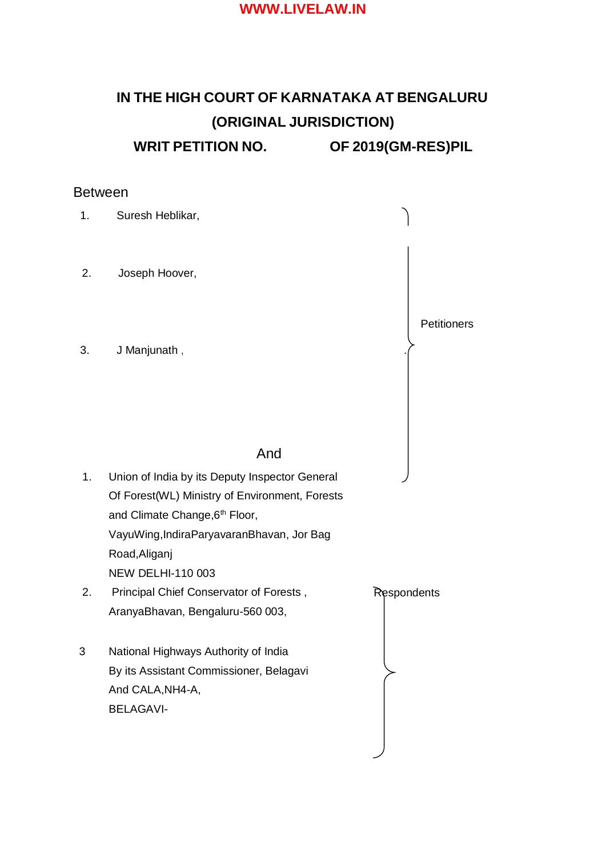# **IN THE HIGH COURT OF KARNATAKA AT BENGALURU (ORIGINAL JURISDICTION) WRIT PETITION NO. OF 2019(GM-RES)PIL**

## Between

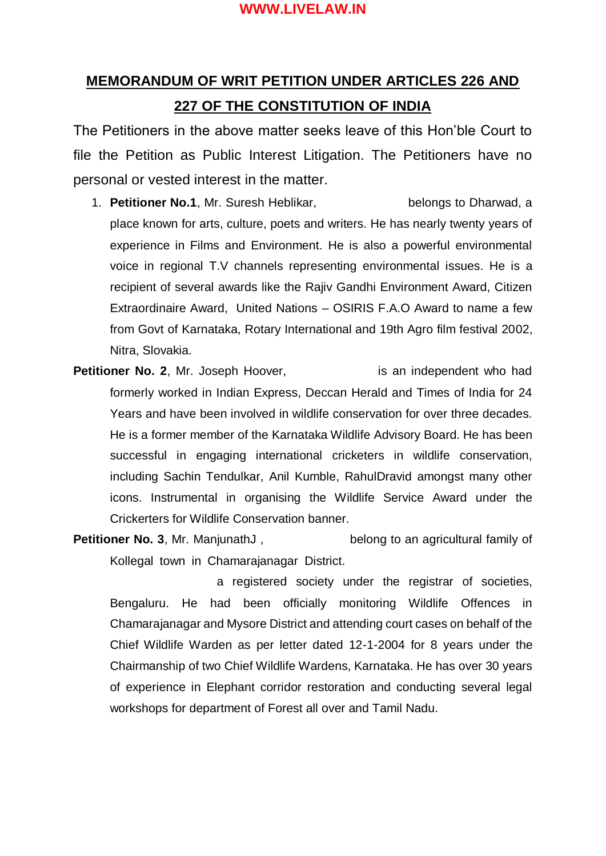## **MEMORANDUM OF WRIT PETITION UNDER ARTICLES 226 AND 227 OF THE CONSTITUTION OF INDIA**

The Petitioners in the above matter seeks leave of this Hon'ble Court to file the Petition as Public Interest Litigation. The Petitioners have no personal or vested interest in the matter.

- 1. **Petitioner No.1**, Mr. Suresh Heblikar, belongs to Dharwad, a place known for arts, culture, poets and writers. He has nearly twenty years of experience in Films and Environment. He is also a powerful environmental voice in regional T.V channels representing environmental issues. He is a recipient of several awards like the Rajiv Gandhi Environment Award, Citizen Extraordinaire Award, United Nations – OSIRIS F.A.O Award to name a few from Govt of Karnataka, Rotary International and 19th Agro film festival 2002, Nitra, Slovakia.
- **Petitioner No. 2.** Mr. Joseph Hoover, is an independent who had formerly worked in Indian Express, Deccan Herald and Times of India for 24 Years and have been involved in wildlife conservation for over three decades. He is a former member of the Karnataka Wildlife Advisory Board. He has been successful in engaging international cricketers in wildlife conservation, including Sachin Tendulkar, Anil Kumble, RahulDravid amongst many other icons. Instrumental in organising the Wildlife Service Award under the Crickerters for Wildlife Conservation banner.
- **Petitioner No. 3.** Mr. ManiunathJ. belong to an agricultural family of Kollegal town in Chamarajanagar District.

a registered society under the registrar of societies, Bengaluru. He had been officially monitoring Wildlife Offences in Chamarajanagar and Mysore District and attending court cases on behalf of the Chief Wildlife Warden as per letter dated 12-1-2004 for 8 years under the Chairmanship of two Chief Wildlife Wardens, Karnataka. He has over 30 years of experience in Elephant corridor restoration and conducting several legal workshops for department of Forest all over and Tamil Nadu.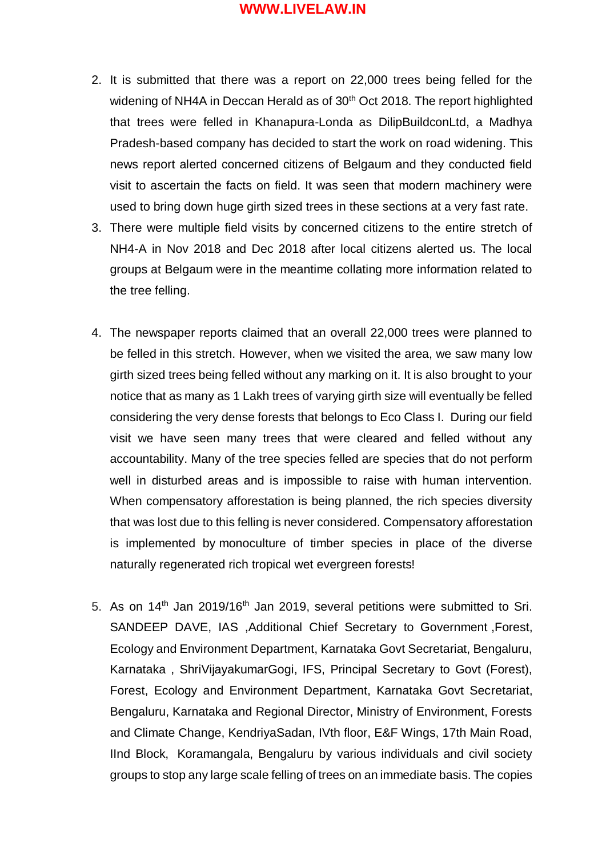- 2. It is submitted that there was a report on 22,000 trees being felled for the widening of NH4A in Deccan Herald as of 30<sup>th</sup> Oct 2018. The report highlighted that trees were felled in Khanapura-Londa as DilipBuildconLtd, a Madhya Pradesh-based company has decided to start the work on road widening. This news report alerted concerned citizens of Belgaum and they conducted field visit to ascertain the facts on field. It was seen that modern machinery were used to bring down huge girth sized trees in these sections at a very fast rate.
- 3. There were multiple field visits by concerned citizens to the entire stretch of NH4-A in Nov 2018 and Dec 2018 after local citizens alerted us. The local groups at Belgaum were in the meantime collating more information related to the tree felling.
- 4. The newspaper reports claimed that an overall 22,000 trees were planned to be felled in this stretch. However, when we visited the area, we saw many low girth sized trees being felled without any marking on it. It is also brought to your notice that as many as 1 Lakh trees of varying girth size will eventually be felled considering the very dense forests that belongs to Eco Class I. During our field visit we have seen many trees that were cleared and felled without any accountability. Many of the tree species felled are species that do not perform well in disturbed areas and is impossible to raise with human intervention. When compensatory afforestation is being planned, the rich species diversity that was lost due to this felling is never considered. Compensatory afforestation is implemented by monoculture of timber species in place of the diverse naturally regenerated rich tropical wet evergreen forests!
- 5. As on 14<sup>th</sup> Jan 2019/16<sup>th</sup> Jan 2019, several petitions were submitted to Sri. SANDEEP DAVE, IAS ,Additional Chief Secretary to Government ,Forest, Ecology and Environment Department, Karnataka Govt Secretariat, Bengaluru, Karnataka , ShriVijayakumarGogi, IFS, Principal Secretary to Govt (Forest), Forest, Ecology and Environment Department, Karnataka Govt Secretariat, Bengaluru, Karnataka and Regional Director, Ministry of Environment, Forests and Climate Change, KendriyaSadan, IVth floor, E&F Wings, 17th Main Road, IInd Block, Koramangala, Bengaluru by various individuals and civil society groups to stop any large scale felling of trees on an immediate basis. The copies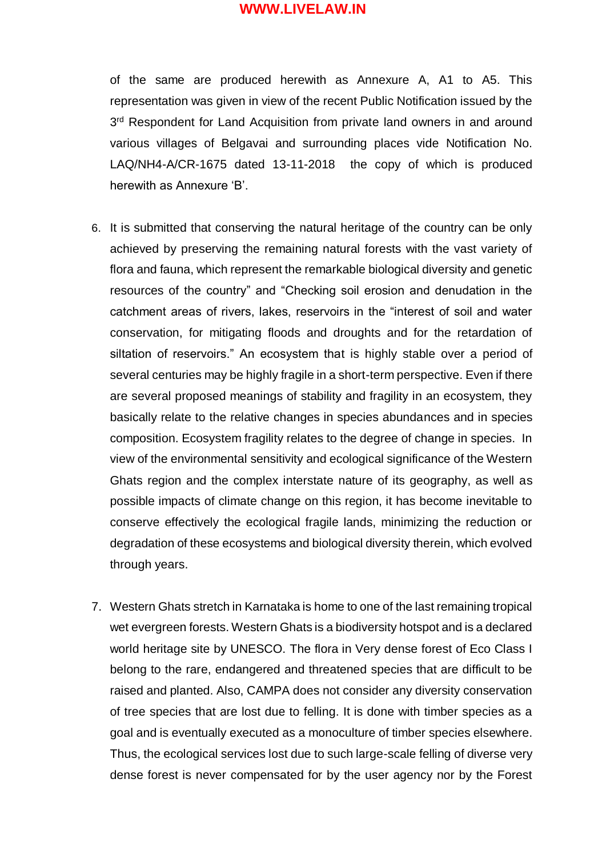of the same are produced herewith as Annexure A, A1 to A5. This representation was given in view of the recent Public Notification issued by the 3<sup>rd</sup> Respondent for Land Acquisition from private land owners in and around various villages of Belgavai and surrounding places vide Notification No. LAQ/NH4-A/CR-1675 dated 13-11-2018 the copy of which is produced herewith as Annexure 'B'.

- 6. It is submitted that conserving the natural heritage of the country can be only achieved by preserving the remaining natural forests with the vast variety of flora and fauna, which represent the remarkable biological diversity and genetic resources of the country" and "Checking soil erosion and denudation in the catchment areas of rivers, lakes, reservoirs in the "interest of soil and water conservation, for mitigating floods and droughts and for the retardation of siltation of reservoirs." An ecosystem that is highly stable over a period of several centuries may be highly fragile in a short-term perspective. Even if there are several proposed meanings of stability and fragility in an ecosystem, they basically relate to the relative changes in species abundances and in species composition. Ecosystem fragility relates to the degree of change in species. In view of the environmental sensitivity and ecological significance of the Western Ghats region and the complex interstate nature of its geography, as well as possible impacts of climate change on this region, it has become inevitable to conserve effectively the ecological fragile lands, minimizing the reduction or degradation of these ecosystems and biological diversity therein, which evolved through years.
- 7. Western Ghats stretch in Karnataka is home to one of the last remaining tropical wet evergreen forests. Western Ghats is a biodiversity hotspot and is a declared world heritage site by UNESCO. The flora in Very dense forest of Eco Class I belong to the rare, endangered and threatened species that are difficult to be raised and planted. Also, CAMPA does not consider any diversity conservation of tree species that are lost due to felling. It is done with timber species as a goal and is eventually executed as a monoculture of timber species elsewhere. Thus, the ecological services lost due to such large-scale felling of diverse very dense forest is never compensated for by the user agency nor by the Forest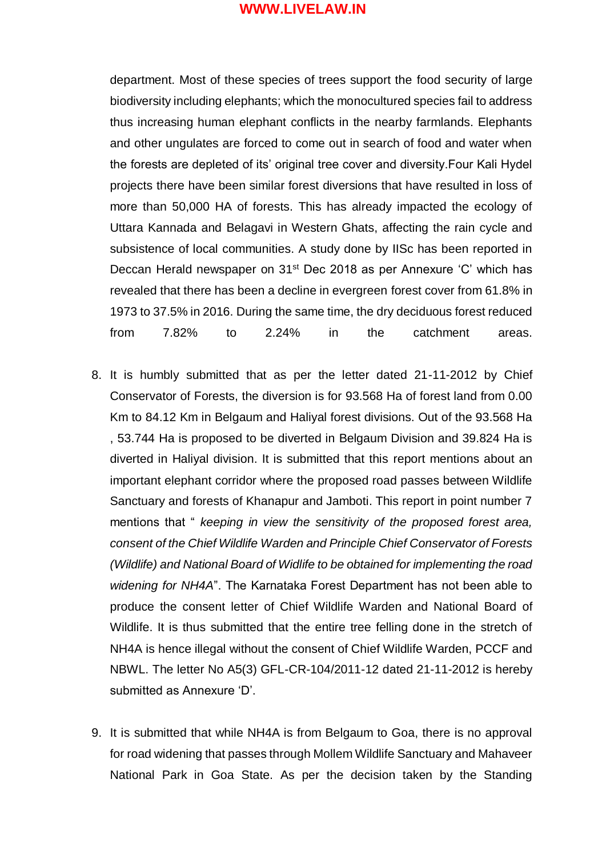department. Most of these species of trees support the food security of large biodiversity including elephants; which the monocultured species fail to address thus increasing human elephant conflicts in the nearby farmlands. Elephants and other ungulates are forced to come out in search of food and water when the forests are depleted of its' original tree cover and diversity.Four Kali Hydel projects there have been similar forest diversions that have resulted in loss of more than 50,000 HA of forests. This has already impacted the ecology of Uttara Kannada and Belagavi in Western Ghats, affecting the rain cycle and subsistence of local communities. A study done by IISc has been reported in Deccan Herald newspaper on 31<sup>st</sup> Dec 2018 as per Annexure 'C' which has revealed that there has been a decline in evergreen forest cover from 61.8% in 1973 to 37.5% in 2016. During the same time, the dry deciduous forest reduced from 7.82% to 2.24% in the catchment areas.

- 8. It is humbly submitted that as per the letter dated 21-11-2012 by Chief Conservator of Forests, the diversion is for 93.568 Ha of forest land from 0.00 Km to 84.12 Km in Belgaum and Haliyal forest divisions. Out of the 93.568 Ha , 53.744 Ha is proposed to be diverted in Belgaum Division and 39.824 Ha is diverted in Haliyal division. It is submitted that this report mentions about an important elephant corridor where the proposed road passes between Wildlife Sanctuary and forests of Khanapur and Jamboti. This report in point number 7 mentions that " *keeping in view the sensitivity of the proposed forest area, consent of the Chief Wildlife Warden and Principle Chief Conservator of Forests (Wildlife) and National Board of Widlife to be obtained for implementing the road widening for NH4A*". The Karnataka Forest Department has not been able to produce the consent letter of Chief Wildlife Warden and National Board of Wildlife. It is thus submitted that the entire tree felling done in the stretch of NH4A is hence illegal without the consent of Chief Wildlife Warden, PCCF and NBWL. The letter No A5(3) GFL-CR-104/2011-12 dated 21-11-2012 is hereby submitted as Annexure 'D'.
- 9. It is submitted that while NH4A is from Belgaum to Goa, there is no approval for road widening that passes through Mollem Wildlife Sanctuary and Mahaveer National Park in Goa State. As per the decision taken by the Standing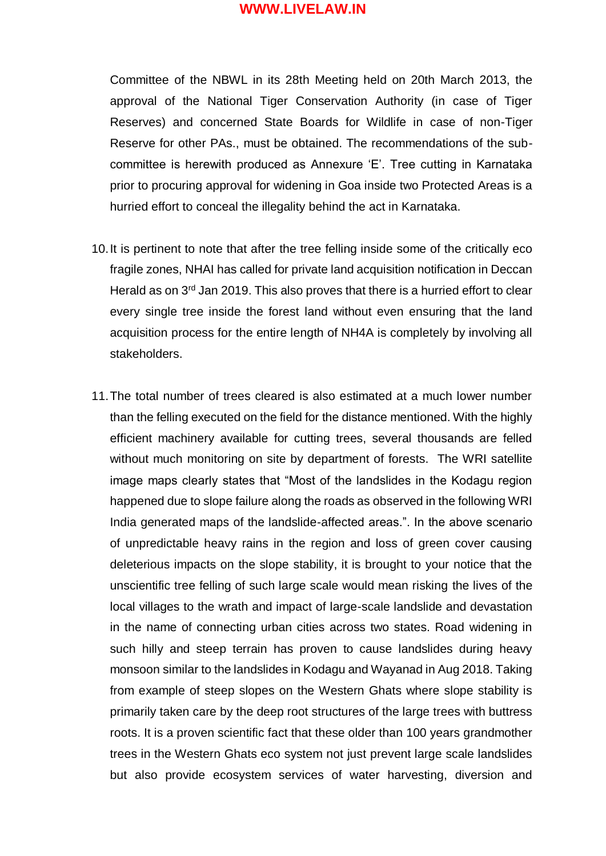Committee of the NBWL in its 28th Meeting held on 20th March 2013, the approval of the National Tiger Conservation Authority (in case of Tiger Reserves) and concerned State Boards for Wildlife in case of non-Tiger Reserve for other PAs., must be obtained. The recommendations of the subcommittee is herewith produced as Annexure 'E'. Tree cutting in Karnataka prior to procuring approval for widening in Goa inside two Protected Areas is a hurried effort to conceal the illegality behind the act in Karnataka.

- 10.It is pertinent to note that after the tree felling inside some of the critically eco fragile zones, NHAI has called for private land acquisition notification in Deccan Herald as on 3<sup>rd</sup> Jan 2019. This also proves that there is a hurried effort to clear every single tree inside the forest land without even ensuring that the land acquisition process for the entire length of NH4A is completely by involving all stakeholders.
- 11.The total number of trees cleared is also estimated at a much lower number than the felling executed on the field for the distance mentioned. With the highly efficient machinery available for cutting trees, several thousands are felled without much monitoring on site by department of forests. The WRI satellite image maps clearly states that "Most of the landslides in the Kodagu region happened due to slope failure along the roads as observed in the following WRI India generated maps of the landslide-affected areas.". In the above scenario of unpredictable heavy rains in the region and loss of green cover causing deleterious impacts on the slope stability, it is brought to your notice that the unscientific tree felling of such large scale would mean risking the lives of the local villages to the wrath and impact of large-scale landslide and devastation in the name of connecting urban cities across two states. Road widening in such hilly and steep terrain has proven to cause landslides during heavy monsoon similar to the landslides in Kodagu and Wayanad in Aug 2018. Taking from example of steep slopes on the Western Ghats where slope stability is primarily taken care by the deep root structures of the large trees with buttress roots. It is a proven scientific fact that these older than 100 years grandmother trees in the Western Ghats eco system not just prevent large scale landslides but also provide ecosystem services of water harvesting, diversion and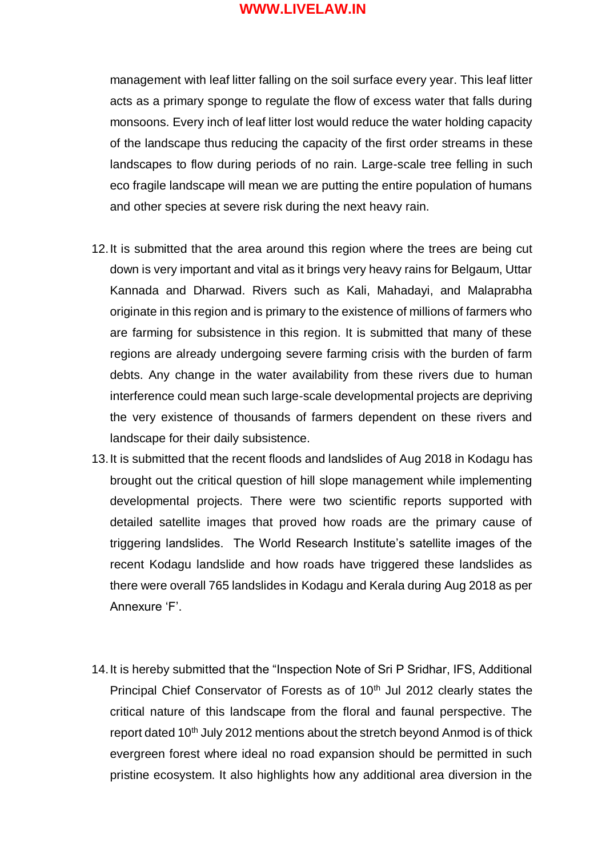management with leaf litter falling on the soil surface every year. This leaf litter acts as a primary sponge to regulate the flow of excess water that falls during monsoons. Every inch of leaf litter lost would reduce the water holding capacity of the landscape thus reducing the capacity of the first order streams in these landscapes to flow during periods of no rain. Large-scale tree felling in such eco fragile landscape will mean we are putting the entire population of humans and other species at severe risk during the next heavy rain.

- 12.It is submitted that the area around this region where the trees are being cut down is very important and vital as it brings very heavy rains for Belgaum, Uttar Kannada and Dharwad. Rivers such as Kali, Mahadayi, and Malaprabha originate in this region and is primary to the existence of millions of farmers who are farming for subsistence in this region. It is submitted that many of these regions are already undergoing severe farming crisis with the burden of farm debts. Any change in the water availability from these rivers due to human interference could mean such large-scale developmental projects are depriving the very existence of thousands of farmers dependent on these rivers and landscape for their daily subsistence.
- 13.It is submitted that the recent floods and landslides of Aug 2018 in Kodagu has brought out the critical question of hill slope management while implementing developmental projects. There were two scientific reports supported with detailed satellite images that proved how roads are the primary cause of triggering landslides. The World Research Institute's satellite images of the recent Kodagu landslide and how roads have triggered these landslides as there were overall 765 landslides in Kodagu and Kerala during Aug 2018 as per Annexure 'F'.
- 14.It is hereby submitted that the "Inspection Note of Sri P Sridhar, IFS, Additional Principal Chief Conservator of Forests as of 10<sup>th</sup> Jul 2012 clearly states the critical nature of this landscape from the floral and faunal perspective. The report dated 10<sup>th</sup> July 2012 mentions about the stretch beyond Anmod is of thick evergreen forest where ideal no road expansion should be permitted in such pristine ecosystem. It also highlights how any additional area diversion in the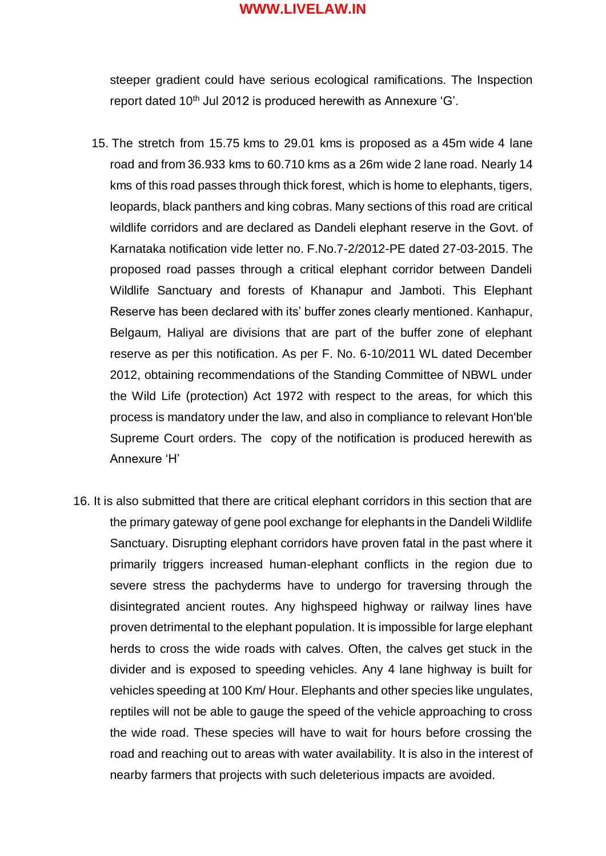steeper gradient could have serious ecological ramifications. The Inspection report dated 10<sup>th</sup> Jul 2012 is produced herewith as Annexure 'G'.

- 15. The stretch from 15.75 kms to 29.01 kms is proposed as a 45m wide 4 lane road and from 36.933 kms to 60.710 kms as a 26m wide 2 lane road. Nearly 14 kms of this road passes through thick forest, which is home to elephants, tigers, leopards, black panthers and king cobras. Many sections of this road are critical wildlife corridors and are declared as Dandeli elephant reserve in the Govt. of Karnataka notification vide letter no. F.No.7-2/2012-PE dated 27-03-2015. The proposed road passes through a critical elephant corridor between Dandeli Wildlife Sanctuary and forests of Khanapur and Jamboti. This Elephant Reserve has been declared with its' buffer zones clearly mentioned. Kanhapur, Belgaum, Haliyal are divisions that are part of the buffer zone of elephant reserve as per this notification. As per F. No. 6-10/2011 WL dated December 2012, obtaining recommendations of the Standing Committee of NBWL under the Wild Life (protection) Act 1972 with respect to the areas, for which this process is mandatory under the law, and also in compliance to relevant Hon'ble Supreme Court orders. The copy of the notification is produced herewith as Annexure 'H'
- 16. It is also submitted that there are critical elephant corridors in this section that are the primary gateway of gene pool exchange for elephants in the Dandeli Wildlife Sanctuary. Disrupting elephant corridors have proven fatal in the past where it primarily triggers increased human-elephant conflicts in the region due to severe stress the pachyderms have to undergo for traversing through the disintegrated ancient routes. Any highspeed highway or railway lines have proven detrimental to the elephant population. It is impossible for large elephant herds to cross the wide roads with calves. Often, the calves get stuck in the divider and is exposed to speeding vehicles. Any 4 lane highway is built for vehicles speeding at 100 Km/ Hour. Elephants and other species like ungulates, reptiles will not be able to gauge the speed of the vehicle approaching to cross the wide road. These species will have to wait for hours before crossing the road and reaching out to areas with water availability. It is also in the interest of nearby farmers that projects with such deleterious impacts are avoided.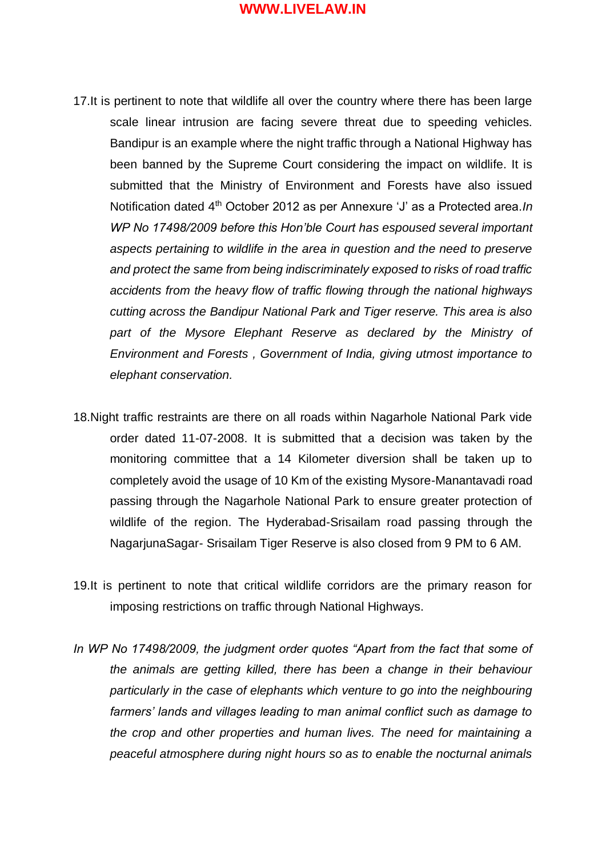- 17.It is pertinent to note that wildlife all over the country where there has been large scale linear intrusion are facing severe threat due to speeding vehicles. Bandipur is an example where the night traffic through a National Highway has been banned by the Supreme Court considering the impact on wildlife. It is submitted that the Ministry of Environment and Forests have also issued Notification dated 4th October 2012 as per Annexure 'J' as a Protected area.*In WP No 17498/2009 before this Hon'ble Court has espoused several important aspects pertaining to wildlife in the area in question and the need to preserve and protect the same from being indiscriminately exposed to risks of road traffic accidents from the heavy flow of traffic flowing through the national highways cutting across the Bandipur National Park and Tiger reserve. This area is also part of the Mysore Elephant Reserve as declared by the Ministry of Environment and Forests , Government of India, giving utmost importance to elephant conservation.*
- 18.Night traffic restraints are there on all roads within Nagarhole National Park vide order dated 11-07-2008. It is submitted that a decision was taken by the monitoring committee that a 14 Kilometer diversion shall be taken up to completely avoid the usage of 10 Km of the existing Mysore-Manantavadi road passing through the Nagarhole National Park to ensure greater protection of wildlife of the region. The Hyderabad-Srisailam road passing through the NagarjunaSagar- Srisailam Tiger Reserve is also closed from 9 PM to 6 AM.
- 19.It is pertinent to note that critical wildlife corridors are the primary reason for imposing restrictions on traffic through National Highways.
- *In WP No 17498/2009, the judgment order quotes "Apart from the fact that some of the animals are getting killed, there has been a change in their behaviour particularly in the case of elephants which venture to go into the neighbouring farmers' lands and villages leading to man animal conflict such as damage to the crop and other properties and human lives. The need for maintaining a peaceful atmosphere during night hours so as to enable the nocturnal animals*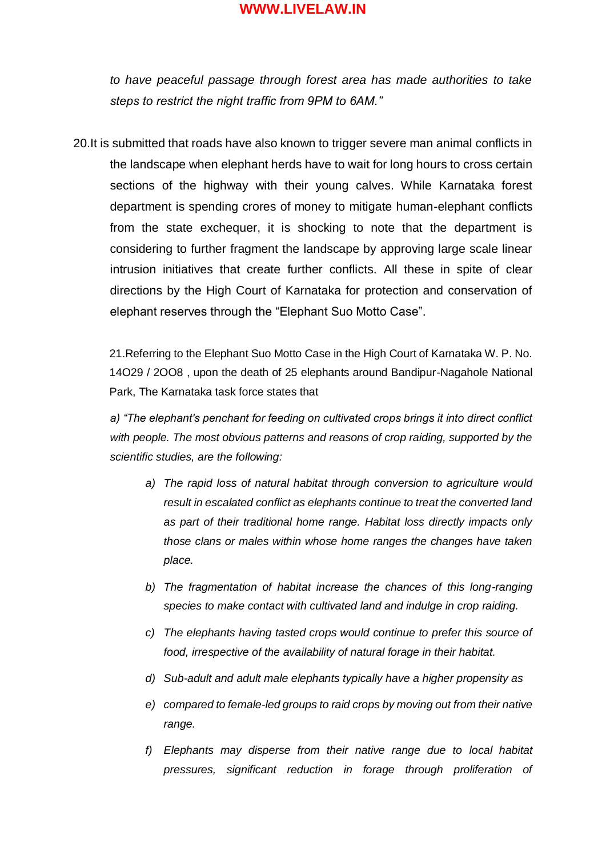*to have peaceful passage through forest area has made authorities to take steps to restrict the night traffic from 9PM to 6AM."*

20.It is submitted that roads have also known to trigger severe man animal conflicts in the landscape when elephant herds have to wait for long hours to cross certain sections of the highway with their young calves. While Karnataka forest department is spending crores of money to mitigate human-elephant conflicts from the state exchequer, it is shocking to note that the department is considering to further fragment the landscape by approving large scale linear intrusion initiatives that create further conflicts. All these in spite of clear directions by the High Court of Karnataka for protection and conservation of elephant reserves through the "Elephant Suo Motto Case".

21.Referring to the Elephant Suo Motto Case in the High Court of Karnataka W. P. No. 14O29 / 2OO8 , upon the death of 25 elephants around Bandipur-Nagahole National Park, The Karnataka task force states that

*a) "The elephant's penchant for feeding on cultivated crops brings it into direct conflict with people. The most obvious patterns and reasons of crop raiding, supported by the scientific studies, are the following:*

- *a) The rapid loss of natural habitat through conversion to agriculture would result in escalated conflict as elephants continue to treat the converted land as part of their traditional home range. Habitat loss directly impacts only those clans or males within whose home ranges the changes have taken place.*
- *b) The fragmentation of habitat increase the chances of this long-ranging species to make contact with cultivated land and indulge in crop raiding.*
- *c) The elephants having tasted crops would continue to prefer this source of food, irrespective of the availability of natural forage in their habitat.*
- *d) Sub-adult and adult male elephants typically have a higher propensity as*
- *e) compared to female-led groups to raid crops by moving out from their native range.*
- *f) Elephants may disperse from their native range due to local habitat pressures, significant reduction in forage through proliferation of*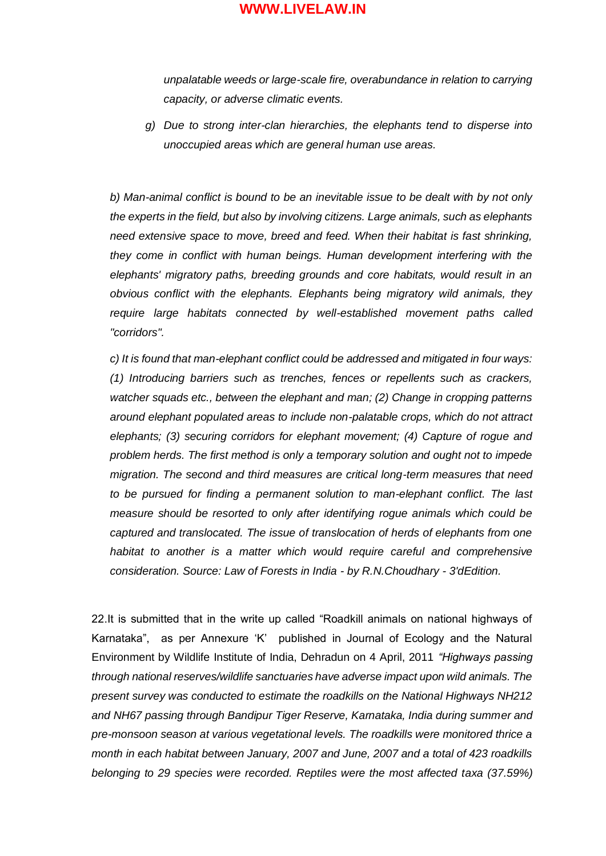*unpalatable weeds or large-scale fire, overabundance in relation to carrying capacity, or adverse climatic events.*

*g) Due to strong inter-clan hierarchies, the elephants tend to disperse into unoccupied areas which are general human use areas.*

*b) Man-animal conflict is bound to be an inevitable issue to be dealt with by not only the experts in the field, but also by involving citizens. Large animals, such as elephants need extensive space to move, breed and feed. When their habitat is fast shrinking, they come in conflict with human beings. Human development interfering with the elephants' migratory paths, breeding grounds and core habitats, would result in an obvious conflict with the elephants. Elephants being migratory wild animals, they require large habitats connected by well-established movement paths called "corridors".*

*c) It is found that man-elephant conflict could be addressed and mitigated in four ways: (1) Introducing barriers such as trenches, fences or repellents such as crackers, watcher squads etc., between the elephant and man; (2) Change in cropping patterns around elephant populated areas to include non-palatable crops, which do not attract elephants; (3) securing corridors for elephant movement; (4) Capture of rogue and problem herds. The first method is only a temporary solution and ought not to impede migration. The second and third measures are critical long-term measures that need to be pursued for finding a permanent solution to man-elephant conflict. The last measure should be resorted to only after identifying rogue animals which could be captured and translocated. The issue of translocation of herds of elephants from one habitat to another is a matter which would require careful and comprehensive consideration. Source: Law of Forests in India - by R.N.Choudhary - 3'dEdition.*

22.It is submitted that in the write up called "Roadkill animals on national highways of Karnataka", as per Annexure 'K' published in Journal of Ecology and the Natural Environment by Wildlife Institute of India, Dehradun on 4 April, 2011 *"Highways passing through national reserves/wildlife sanctuaries have adverse impact upon wild animals. The present survey was conducted to estimate the roadkills on the National Highways NH212 and NH67 passing through Bandipur Tiger Reserve, Karnataka, India during summer and pre-monsoon season at various vegetational levels. The roadkills were monitored thrice a month in each habitat between January, 2007 and June, 2007 and a total of 423 roadkills belonging to 29 species were recorded. Reptiles were the most affected taxa (37.59%)*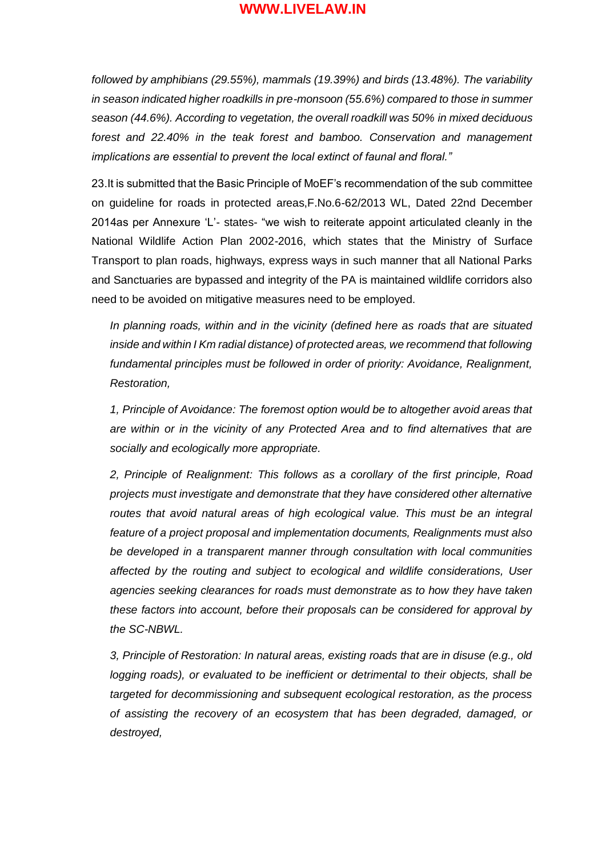*followed by amphibians (29.55%), mammals (19.39%) and birds (13.48%). The variability in season indicated higher roadkills in pre-monsoon (55.6%) compared to those in summer season (44.6%). According to vegetation, the overall roadkill was 50% in mixed deciduous forest and 22.40% in the teak forest and bamboo. Conservation and management implications are essential to prevent the local extinct of faunal and floral."*

23.It is submitted that the Basic Principle of MoEF's recommendation of the sub committee on guideline for roads in protected areas,F.No.6-62/2013 WL, Dated 22nd December 2014as per Annexure 'L'- states- "we wish to reiterate appoint articulated cleanly in the National Wildlife Action Plan 2002-2016, which states that the Ministry of Surface Transport to plan roads, highways, express ways in such manner that all National Parks and Sanctuaries are bypassed and integrity of the PA is maintained wildlife corridors also need to be avoided on mitigative measures need to be employed.

*In planning roads, within and in the vicinity (defined here as roads that are situated inside and within I Km radial distance) of protected areas, we recommend that following*  fundamental principles must be followed in order of priority: Avoidance, Realignment, *Restoration,*

*1, Principle of Avoidance: The foremost option would be to altogether avoid areas that are within or in the vicinity of any Protected Area and to find alternatives that are socially and ecologically more appropriate.*

*2, Principle of Realignment: This follows as a corollary of the first principle, Road projects must investigate and demonstrate that they have considered other alternative*  routes that avoid natural areas of high ecological value. This must be an integral *feature of a project proposal and implementation documents, Realignments must also be developed in a transparent manner through consultation with local communities affected by the routing and subject to ecological and wildlife considerations, User agencies seeking clearances for roads must demonstrate as to how they have taken these factors into account, before their proposals can be considered for approval by the SC-NBWL.*

*3, Principle of Restoration: In natural areas, existing roads that are in disuse (e.g., old logging roads), or evaluated to be inefficient or detrimental to their objects, shall be targeted for decommissioning and subsequent ecological restoration, as the process of assisting the recovery of an ecosystem that has been degraded, damaged, or destroyed,*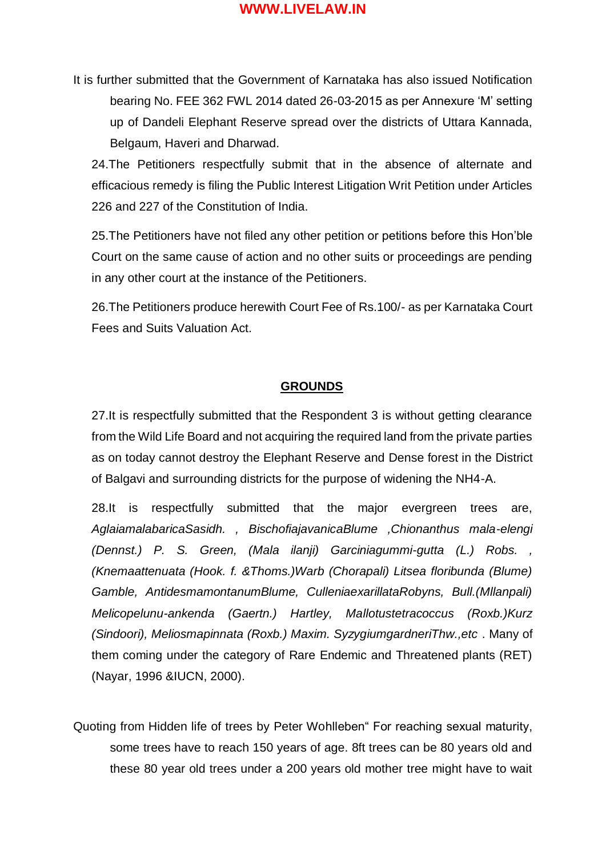It is further submitted that the Government of Karnataka has also issued Notification bearing No. FEE 362 FWL 2014 dated 26-03-2015 as per Annexure 'M' setting up of Dandeli Elephant Reserve spread over the districts of Uttara Kannada, Belgaum, Haveri and Dharwad.

24.The Petitioners respectfully submit that in the absence of alternate and efficacious remedy is filing the Public Interest Litigation Writ Petition under Articles 226 and 227 of the Constitution of India.

25.The Petitioners have not filed any other petition or petitions before this Hon'ble Court on the same cause of action and no other suits or proceedings are pending in any other court at the instance of the Petitioners.

26.The Petitioners produce herewith Court Fee of Rs.100/- as per Karnataka Court Fees and Suits Valuation Act.

#### **GROUNDS**

27.It is respectfully submitted that the Respondent 3 is without getting clearance from the Wild Life Board and not acquiring the required land from the private parties as on today cannot destroy the Elephant Reserve and Dense forest in the District of Balgavi and surrounding districts for the purpose of widening the NH4-A.

28.It is respectfully submitted that the major evergreen trees are, *AglaiamalabaricaSasidh. , BischofiajavanicaBlume ,Chionanthus mala-elengi (Dennst.) P. S. Green, (Mala ilanji) Garciniagummi-gutta (L.) Robs. , (Knemaattenuata (Hook. f. &Thoms.)Warb (Chorapali) Litsea floribunda (Blume) Gamble, AntidesmamontanumBlume, CulleniaexarillataRobyns, Bull.(Mllanpali) Melicopelunu-ankenda (Gaertn.) Hartley, Mallotustetracoccus (Roxb.)Kurz (Sindoori), Meliosmapinnata (Roxb.) Maxim. SyzygiumgardneriThw.,etc* . Many of them coming under the category of Rare Endemic and Threatened plants (RET) (Nayar, 1996 &IUCN, 2000).

Quoting from Hidden life of trees by Peter Wohlleben" For reaching sexual maturity, some trees have to reach 150 years of age. 8ft trees can be 80 years old and these 80 year old trees under a 200 years old mother tree might have to wait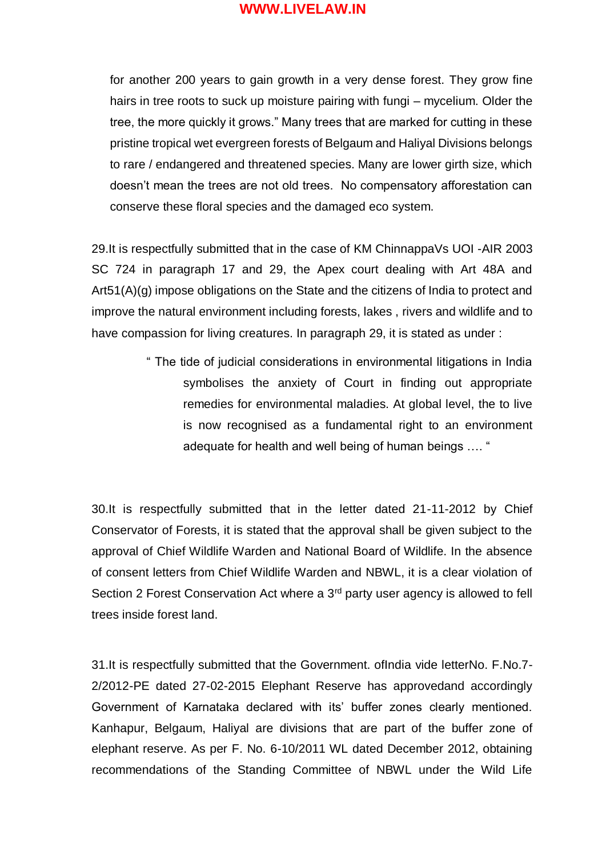for another 200 years to gain growth in a very dense forest. They grow fine hairs in tree roots to suck up moisture pairing with fungi – mycelium. Older the tree, the more quickly it grows." Many trees that are marked for cutting in these pristine tropical wet evergreen forests of Belgaum and Haliyal Divisions belongs to rare / endangered and threatened species. Many are lower girth size, which doesn't mean the trees are not old trees. No compensatory afforestation can conserve these floral species and the damaged eco system.

29.It is respectfully submitted that in the case of KM ChinnappaVs UOI -AIR 2003 SC 724 in paragraph 17 and 29, the Apex court dealing with Art 48A and Art51(A)(g) impose obligations on the State and the citizens of India to protect and improve the natural environment including forests, lakes , rivers and wildlife and to have compassion for living creatures. In paragraph 29, it is stated as under :

> " The tide of judicial considerations in environmental litigations in India symbolises the anxiety of Court in finding out appropriate remedies for environmental maladies. At global level, the to live is now recognised as a fundamental right to an environment adequate for health and well being of human beings …. "

30.It is respectfully submitted that in the letter dated 21-11-2012 by Chief Conservator of Forests, it is stated that the approval shall be given subject to the approval of Chief Wildlife Warden and National Board of Wildlife. In the absence of consent letters from Chief Wildlife Warden and NBWL, it is a clear violation of Section 2 Forest Conservation Act where a 3<sup>rd</sup> party user agency is allowed to fell trees inside forest land.

31.It is respectfully submitted that the Government. ofIndia vide letterNo. F.No.7- 2/2012-PE dated 27-02-2015 Elephant Reserve has approvedand accordingly Government of Karnataka declared with its' buffer zones clearly mentioned. Kanhapur, Belgaum, Haliyal are divisions that are part of the buffer zone of elephant reserve. As per F. No. 6-10/2011 WL dated December 2012, obtaining recommendations of the Standing Committee of NBWL under the Wild Life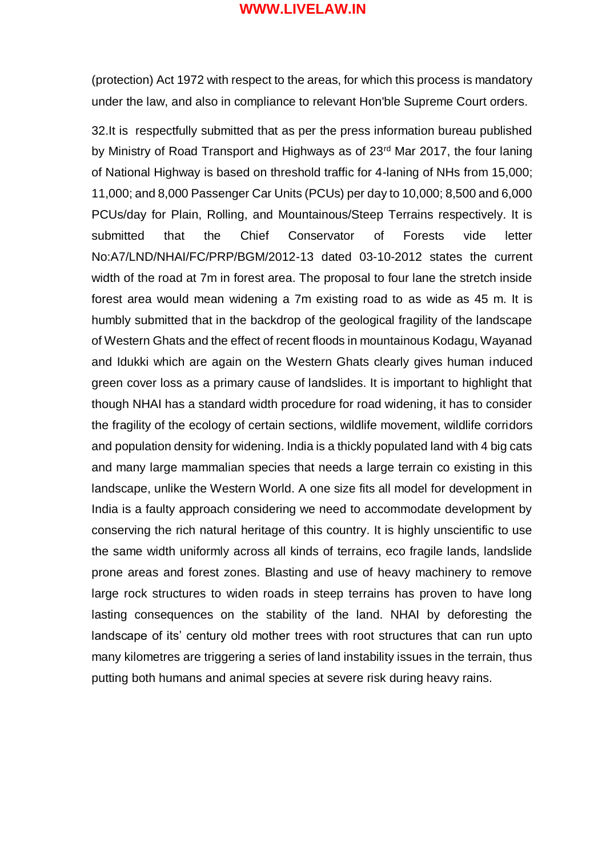(protection) Act 1972 with respect to the areas, for which this process is mandatory under the law, and also in compliance to relevant Hon'ble Supreme Court orders.

32.It is respectfully submitted that as per the press information bureau published by Ministry of Road Transport and Highways as of 23<sup>rd</sup> Mar 2017, the four laning of National Highway is based on threshold traffic for 4-laning of NHs from 15,000; 11,000; and 8,000 Passenger Car Units (PCUs) per day to 10,000; 8,500 and 6,000 PCUs/day for Plain, Rolling, and Mountainous/Steep Terrains respectively. It is submitted that the Chief Conservator of Forests vide letter No:A7/LND/NHAI/FC/PRP/BGM/2012-13 dated 03-10-2012 states the current width of the road at 7m in forest area. The proposal to four lane the stretch inside forest area would mean widening a 7m existing road to as wide as 45 m. It is humbly submitted that in the backdrop of the geological fragility of the landscape of Western Ghats and the effect of recent floods in mountainous Kodagu, Wayanad and Idukki which are again on the Western Ghats clearly gives human induced green cover loss as a primary cause of landslides. It is important to highlight that though NHAI has a standard width procedure for road widening, it has to consider the fragility of the ecology of certain sections, wildlife movement, wildlife corridors and population density for widening. India is a thickly populated land with 4 big cats and many large mammalian species that needs a large terrain co existing in this landscape, unlike the Western World. A one size fits all model for development in India is a faulty approach considering we need to accommodate development by conserving the rich natural heritage of this country. It is highly unscientific to use the same width uniformly across all kinds of terrains, eco fragile lands, landslide prone areas and forest zones. Blasting and use of heavy machinery to remove large rock structures to widen roads in steep terrains has proven to have long lasting consequences on the stability of the land. NHAI by deforesting the landscape of its' century old mother trees with root structures that can run upto many kilometres are triggering a series of land instability issues in the terrain, thus putting both humans and animal species at severe risk during heavy rains.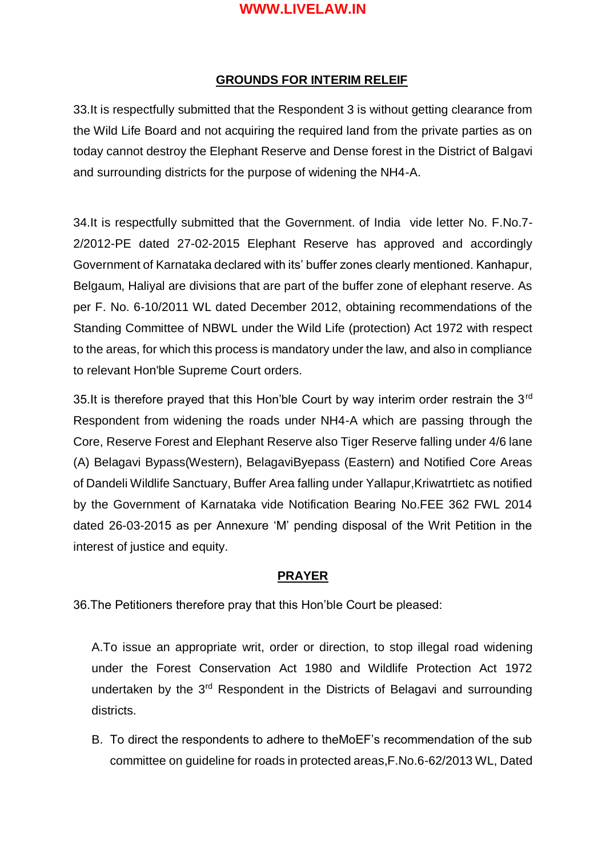#### **GROUNDS FOR INTERIM RELEIF**

33.It is respectfully submitted that the Respondent 3 is without getting clearance from the Wild Life Board and not acquiring the required land from the private parties as on today cannot destroy the Elephant Reserve and Dense forest in the District of Balgavi and surrounding districts for the purpose of widening the NH4-A.

34.It is respectfully submitted that the Government. of India vide letter No. F.No.7- 2/2012-PE dated 27-02-2015 Elephant Reserve has approved and accordingly Government of Karnataka declared with its' buffer zones clearly mentioned. Kanhapur, Belgaum, Haliyal are divisions that are part of the buffer zone of elephant reserve. As per F. No. 6-10/2011 WL dated December 2012, obtaining recommendations of the Standing Committee of NBWL under the Wild Life (protection) Act 1972 with respect to the areas, for which this process is mandatory under the law, and also in compliance to relevant Hon'ble Supreme Court orders.

35. It is therefore prayed that this Hon'ble Court by way interim order restrain the  $3<sup>rd</sup>$ Respondent from widening the roads under NH4-A which are passing through the Core, Reserve Forest and Elephant Reserve also Tiger Reserve falling under 4/6 lane (A) Belagavi Bypass(Western), BelagaviByepass (Eastern) and Notified Core Areas of Dandeli Wildlife Sanctuary, Buffer Area falling under Yallapur,Kriwatrtietc as notified by the Government of Karnataka vide Notification Bearing No.FEE 362 FWL 2014 dated 26-03-2015 as per Annexure 'M' pending disposal of the Writ Petition in the interest of justice and equity.

#### **PRAYER**

36.The Petitioners therefore pray that this Hon'ble Court be pleased:

A.To issue an appropriate writ, order or direction, to stop illegal road widening under the Forest Conservation Act 1980 and Wildlife Protection Act 1972 undertaken by the 3rd Respondent in the Districts of Belagavi and surrounding districts.

B. To direct the respondents to adhere to theMoEF's recommendation of the sub committee on guideline for roads in protected areas,F.No.6-62/2013 WL, Dated